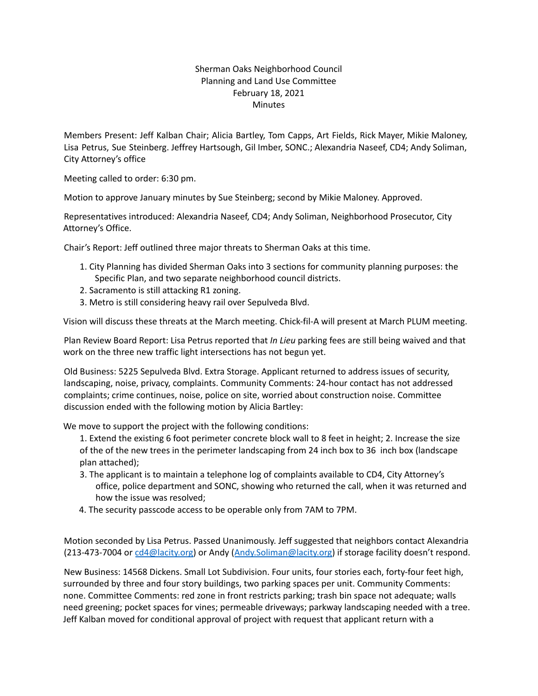## Sherman Oaks Neighborhood Council Planning and Land Use Committee February 18, 2021 **Minutes**

Members Present: Jeff Kalban Chair; Alicia Bartley, Tom Capps, Art Fields, Rick Mayer, Mikie Maloney, Lisa Petrus, Sue Steinberg. Jeffrey Hartsough, Gil Imber, SONC.; Alexandria Naseef, CD4; Andy Soliman, City Attorney's office

Meeting called to order: 6:30 pm.

Motion to approve January minutes by Sue Steinberg; second by Mikie Maloney. Approved.

Representatives introduced: Alexandria Naseef, CD4; Andy Soliman, Neighborhood Prosecutor, City Attorney's Office.

Chair's Report: Jeff outlined three major threats to Sherman Oaks at this time.

- 1. City Planning has divided Sherman Oaks into 3 sections for community planning purposes: the Specific Plan, and two separate neighborhood council districts.
- 2. Sacramento is still attacking R1 zoning.
- 3. Metro is still considering heavy rail over Sepulveda Blvd.

Vision will discuss these threats at the March meeting. Chick-fil-A will present at March PLUM meeting.

Plan Review Board Report: Lisa Petrus reported that *In Lieu* parking fees are still being waived and that work on the three new traffic light intersections has not begun yet.

Old Business: 5225 Sepulveda Blvd. Extra Storage. Applicant returned to address issues of security, landscaping, noise, privacy, complaints. Community Comments: 24-hour contact has not addressed complaints; crime continues, noise, police on site, worried about construction noise. Committee discussion ended with the following motion by Alicia Bartley:

We move to support the project with the following conditions:

1. Extend the existing 6 foot perimeter concrete block wall to 8 feet in height; 2. Increase the size of the of the new trees in the perimeter landscaping from 24 inch box to 36 inch box (landscape plan attached);

- 3. The applicant is to maintain a telephone log of complaints available to CD4, City Attorney's office, police department and SONC, showing who returned the call, when it was returned and how the issue was resolved;
- 4. The security passcode access to be operable only from 7AM to 7PM.

Motion seconded by Lisa Petrus. Passed Unanimously. Jeff suggested that neighbors contact Alexandria (213-473-7004 or cd4@lacity.org) or Andy (Andy.Soliman@lacity.org) if storage facility doesn't respond.

New Business: 14568 Dickens. Small Lot Subdivision. Four units, four stories each, forty-four feet high, surrounded by three and four story buildings, two parking spaces per unit. Community Comments: none. Committee Comments: red zone in front restricts parking; trash bin space not adequate; walls need greening; pocket spaces for vines; permeable driveways; parkway landscaping needed with a tree. Jeff Kalban moved for conditional approval of project with request that applicant return with a